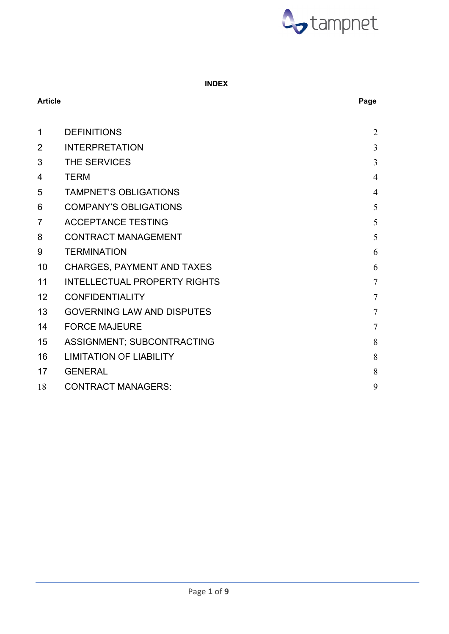

# **INDEX**

# **Article Page**

| 1              | <b>DEFINITIONS</b>                  | $\overline{2}$ |
|----------------|-------------------------------------|----------------|
| $\overline{2}$ | <b>INTERPRETATION</b>               | 3              |
| 3              | THE SERVICES                        | 3              |
| 4              | <b>TERM</b>                         | $\overline{4}$ |
| 5              | <b>TAMPNET'S OBLIGATIONS</b>        | $\overline{4}$ |
| 6              | <b>COMPANY'S OBLIGATIONS</b>        | 5              |
| $\overline{7}$ | <b>ACCEPTANCE TESTING</b>           | 5              |
| 8              | <b>CONTRACT MANAGEMENT</b>          | 5              |
| 9              | <b>TERMINATION</b>                  | 6              |
| 10             | <b>CHARGES, PAYMENT AND TAXES</b>   | 6              |
| 11             | <b>INTELLECTUAL PROPERTY RIGHTS</b> | $\overline{7}$ |
| 12             | <b>CONFIDENTIALITY</b>              | $\overline{7}$ |
| 13             | <b>GOVERNING LAW AND DISPUTES</b>   | $\overline{7}$ |
| 14             | <b>FORCE MAJEURE</b>                | $\overline{7}$ |
| 15             | ASSIGNMENT; SUBCONTRACTING          | 8              |
| 16             | <b>LIMITATION OF LIABILITY</b>      | 8              |
| 17             | <b>GENERAL</b>                      | 8              |
| 18             | <b>CONTRACT MANAGERS:</b>           | 9              |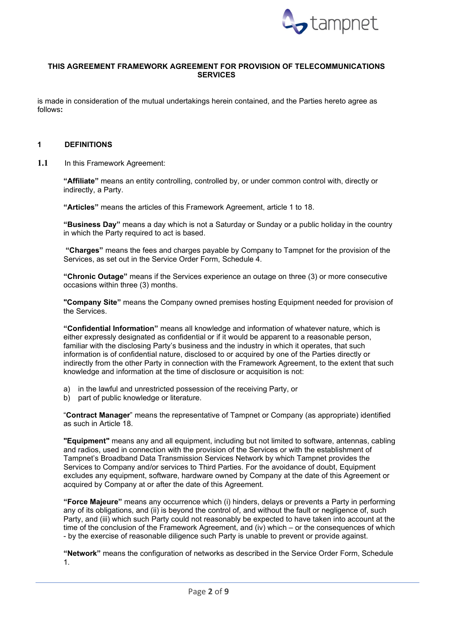

# **THIS AGREEMENT FRAMEWORK AGREEMENT FOR PROVISION OF TELECOMMUNICATIONS SERVICES**

is made in consideration of the mutual undertakings herein contained, and the Parties hereto agree as follows**:**

#### <span id="page-1-0"></span>**1 DEFINITIONS**

**1.1** In this Framework Agreement:

**"Affiliate"** means an entity controlling, controlled by, or under common control with, directly or indirectly, a Party.

**"Articles"** means the articles of this Framework Agreement, article 1 to 18.

**"Business Day"** means a day which is not a Saturday or Sunday or a public holiday in the country in which the Party required to act is based.

**"Charges"** means the fees and charges payable by Company to Tampnet for the provision of the Services, as set out in the Service Order Form, Schedule 4.

**"Chronic Outage"** means if the Services experience an outage on three (3) or more consecutive occasions within three (3) months.

**"Company Site"** means the Company owned premises hosting Equipment needed for provision of the Services.

**"Confidential Information"** means all knowledge and information of whatever nature, which is either expressly designated as confidential or if it would be apparent to a reasonable person, familiar with the disclosing Party's business and the industry in which it operates, that such information is of confidential nature, disclosed to or acquired by one of the Parties directly or indirectly from the other Party in connection with the Framework Agreement, to the extent that such knowledge and information at the time of disclosure or acquisition is not:

- a) in the lawful and unrestricted possession of the receiving Party, or
- b) part of public knowledge or literature.

"**Contract Manager**" means the representative of Tampnet or Company (as appropriate) identified as such in Article 18.

**"Equipment"** means any and all equipment, including but not limited to software, antennas, cabling and radios, used in connection with the provision of the Services or with the establishment of Tampnet's Broadband Data Transmission Services Network by which Tampnet provides the Services to Company and/or services to Third Parties. For the avoidance of doubt, Equipment excludes any equipment, software, hardware owned by Company at the date of this Agreement or acquired by Company at or after the date of this Agreement.

**"Force Majeure"** means any occurrence which (i) hinders, delays or prevents a Party in performing any of its obligations, and (ii) is beyond the control of, and without the fault or negligence of, such Party, and (iii) which such Party could not reasonably be expected to have taken into account at the time of the conclusion of the Framework Agreement, and (iv) which – or the consequences of which - by the exercise of reasonable diligence such Party is unable to prevent or provide against.

**"Network"** means the configuration of networks as described in the Service Order Form, Schedule 1.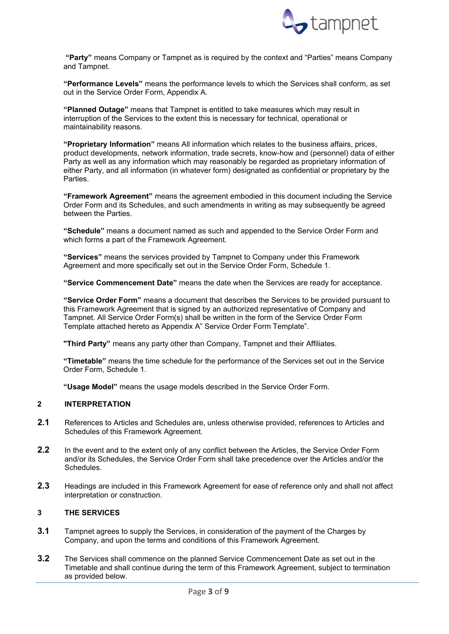

**"Party"** means Company or Tampnet as is required by the context and "Parties" means Company and Tampnet.

**"Performance Levels"** means the performance levels to which the Services shall conform, as set out in the Service Order Form, Appendix A.

**"Planned Outage"** means that Tampnet is entitled to take measures which may result in interruption of the Services to the extent this is necessary for technical, operational or maintainability reasons.

**"Proprietary Information"** means All information which relates to the business affairs, prices, product developments, network information, trade secrets, know-how and (personnel) data of either Party as well as any information which may reasonably be regarded as proprietary information of either Party, and all information (in whatever form) designated as confidential or proprietary by the Parties.

**"Framework Agreement"** means the agreement embodied in this document including the Service Order Form and its Schedules, and such amendments in writing as may subsequently be agreed between the Parties.

**"Schedule"** means a document named as such and appended to the Service Order Form and which forms a part of the Framework Agreement.

**"Services"** means the services provided by Tampnet to Company under this Framework Agreement and more specifically set out in the Service Order Form, Schedule 1.

**"Service Commencement Date"** means the date when the Services are ready for acceptance.

**"Service Order Form"** means a document that describes the Services to be provided pursuant to this Framework Agreement that is signed by an authorized representative of Company and Tampnet. All Service Order Form(s) shall be written in the form of the Service Order Form Template attached hereto as Appendix A" Service Order Form Template".

**"Third Party"** means any party other than Company, Tampnet and their Affiliates.

**"Timetable"** means the time schedule for the performance of the Services set out in the Service Order Form, Schedule 1.

**"Usage Model"** means the usage models described in the Service Order Form.

#### <span id="page-2-0"></span>**2 INTERPRETATION**

- **2.1** References to Articles and Schedules are, unless otherwise provided, references to Articles and Schedules of this Framework Agreement.
- **2.2** In the event and to the extent only of any conflict between the Articles, the Service Order Form and/or its Schedules, the Service Order Form shall take precedence over the Articles and/or the **Schedules**
- **2.3** Headings are included in this Framework Agreement for ease of reference only and shall not affect interpretation or construction.

# <span id="page-2-1"></span>**3 THE SERVICES**

- **3.1** Tampnet agrees to supply the Services, in consideration of the payment of the Charges by Company, and upon the terms and conditions of this Framework Agreement.
- **3.2** The Services shall commence on the planned Service Commencement Date as set out in the Timetable and shall continue during the term of this Framework Agreement, subject to termination as provided below.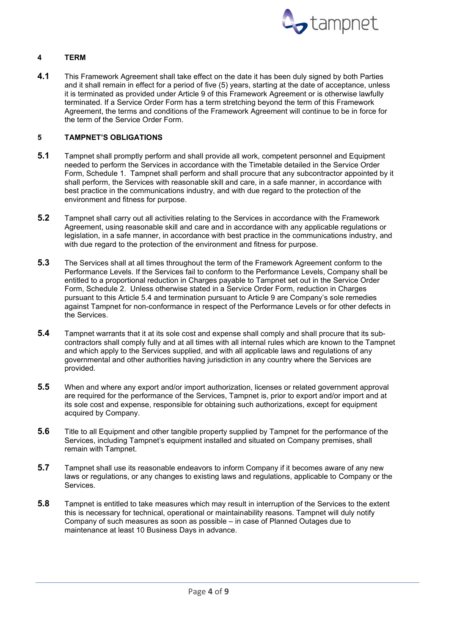

# <span id="page-3-0"></span>**4 TERM**

**4.1** This Framework Agreement shall take effect on the date it has been duly signed by both Parties and it shall remain in effect for a period of five (5) years, starting at the date of acceptance, unless it is terminated as provided under Article 9 of this Framework Agreement or is otherwise lawfully terminated. If a Service Order Form has a term stretching beyond the term of this Framework Agreement, the terms and conditions of the Framework Agreement will continue to be in force for the term of the Service Order Form.

# <span id="page-3-1"></span>**5 TAMPNET'S OBLIGATIONS**

- **5.1** Tampnet shall promptly perform and shall provide all work, competent personnel and Equipment needed to perform the Services in accordance with the Timetable detailed in the Service Order Form, Schedule 1. Tampnet shall perform and shall procure that any subcontractor appointed by it shall perform, the Services with reasonable skill and care, in a safe manner, in accordance with best practice in the communications industry, and with due regard to the protection of the environment and fitness for purpose.
- **5.2** Tampnet shall carry out all activities relating to the Services in accordance with the Framework Agreement, using reasonable skill and care and in accordance with any applicable regulations or legislation, in a safe manner, in accordance with best practice in the communications industry, and with due regard to the protection of the environment and fitness for purpose.
- <span id="page-3-2"></span>**5.3** The Services shall at all times throughout the term of the Framework Agreement conform to the Performance Levels. If the Services fail to conform to the Performance Levels, Company shall be entitled to a proportional reduction in Charges payable to Tampnet set out in the Service Order Form, Schedule 2. Unless otherwise stated in a Service Order Form, reduction in Charges pursuant to this Article [5.4](#page-3-2) and termination pursuant to Article 9 are Company's sole remedies against Tampnet for non-conformance in respect of the Performance Levels or for other defects in the Services.
- **5.4** Tampnet warrants that it at its sole cost and expense shall comply and shall procure that its subcontractors shall comply fully and at all times with all internal rules which are known to the Tampnet and which apply to the Services supplied, and with all applicable laws and regulations of any governmental and other authorities having jurisdiction in any country where the Services are provided.
- **5.5** When and where any export and/or import authorization, licenses or related government approval are required for the performance of the Services, Tampnet is, prior to export and/or import and at its sole cost and expense, responsible for obtaining such authorizations, except for equipment acquired by Company.
- **5.6** Title to all Equipment and other tangible property supplied by Tampnet for the performance of the Services, including Tampnet's equipment installed and situated on Company premises, shall remain with Tampnet.
- **5.7** Tampnet shall use its reasonable endeavors to inform Company if it becomes aware of any new laws or regulations, or any changes to existing laws and regulations, applicable to Company or the **Services**
- **5.8** Tampnet is entitled to take measures which may result in interruption of the Services to the extent this is necessary for technical, operational or maintainability reasons. Tampnet will duly notify Company of such measures as soon as possible – in case of Planned Outages due to maintenance at least 10 Business Days in advance.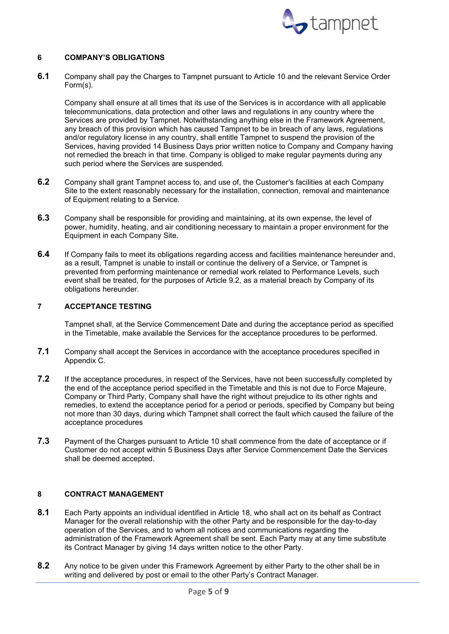

### <span id="page-4-0"></span>**6 COMPANY'S OBLIGATIONS**

**6.1** Company shall pay the Charges to Tampnet pursuant to Article 10 and the relevant Service Order Form(s).

Company shall ensure at all times that its use of the Services is in accordance with all applicable telecommunications, data protection and other laws and regulations in any country where the Services are provided by Tampnet. Notwithstanding anything else in the Framework Agreement, any breach of this provision which has caused Tampnet to be in breach of any laws, regulations and/or regulatory license in any country, shall entitle Tampnet to suspend the provision of the Services, having provided 14 Business Days prior written notice to Company and Company having not remedied the breach in that time. Company is obliged to make regular payments during any such period where the Services are suspended.

- **6.2** Company shall grant Tampnet access to, and use of, the Customer's facilities at each Company Site to the extent reasonably necessary for the installation, connection, removal and maintenance of Equipment relating to a Service.
- **6.3** Company shall be responsible for providing and maintaining, at its own expense, the level of power, humidity, heating, and air conditioning necessary to maintain a proper environment for the Equipment in each Company Site.
- **6.4** If Company fails to meet its obligations regarding access and facilities maintenance hereunder and, as a result, Tampnet is unable to install or continue the delivery of a Service, or Tampnet is prevented from performing maintenance or remedial work related to Performance Levels, such event shall be treated, for the purposes of Article 9.2, as a material breach by Company of its obligations hereunder.

#### <span id="page-4-1"></span>**7 ACCEPTANCE TESTING**

Tampnet shall, at the Service Commencement Date and during the acceptance period as specified in the Timetable, make available the Services for the acceptance procedures to be performed.

- **7.1** Company shall accept the Services in accordance with the acceptance procedures specified in Appendix C.
- **7.2** If the acceptance procedures, in respect of the Services, have not been successfully completed by the end of the acceptance period specified in the Timetable and this is not due to Force Majeure, Company or Third Party, Company shall have the right without prejudice to its other rights and remedies, to extend the acceptance period for a period or periods, specified by Company but being not more than 30 days, during which Tampnet shall correct the fault which caused the failure of the acceptance procedures
- **7.3** Payment of the Charges pursuant to Article 10 shall commence from the date of acceptance or if Customer do not accept within 5 Business Days after Service Commencement Date the Services shall be deemed accepted.

#### <span id="page-4-2"></span>**8 CONTRACT MANAGEMENT**

- **8.1** Each Party appoints an individual identified in Article 18, who shall act on its behalf as Contract Manager for the overall relationship with the other Party and be responsible for the day-to-day operation of the Services, and to whom all notices and communications regarding the administration of the Framework Agreement shall be sent. Each Party may at any time substitute its Contract Manager by giving 14 days written notice to the other Party.
- **8.2** Any notice to be given under this Framework Agreement by either Party to the other shall be in writing and delivered by post or email to the other Party's Contract Manager.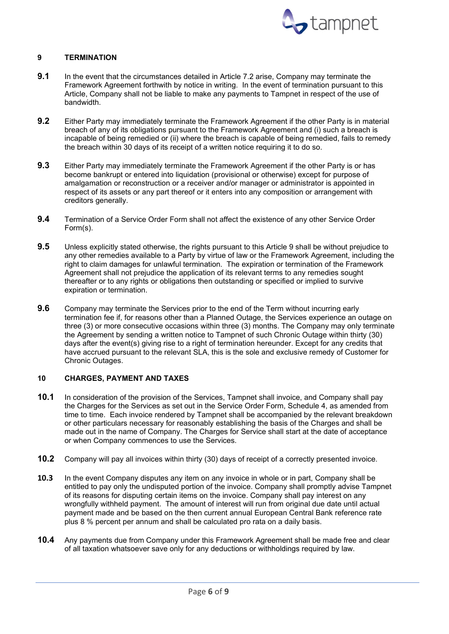

# <span id="page-5-0"></span>**9 TERMINATION**

- **9.1** In the event that the circumstances detailed in Article 7.2 arise, Company may terminate the Framework Agreement forthwith by notice in writing. In the event of termination pursuant to this Article, Company shall not be liable to make any payments to Tampnet in respect of the use of bandwidth.
- **9.2** Either Party may immediately terminate the Framework Agreement if the other Party is in material breach of any of its obligations pursuant to the Framework Agreement and (i) such a breach is incapable of being remedied or (ii) where the breach is capable of being remedied, fails to remedy the breach within 30 days of its receipt of a written notice requiring it to do so.
- **9.3** Either Party may immediately terminate the Framework Agreement if the other Party is or has become bankrupt or entered into liquidation (provisional or otherwise) except for purpose of amalgamation or reconstruction or a receiver and/or manager or administrator is appointed in respect of its assets or any part thereof or it enters into any composition or arrangement with creditors generally.
- **9.4** Termination of a Service Order Form shall not affect the existence of any other Service Order Form(s).
- **9.5** Unless explicitly stated otherwise, the rights pursuant to this Article 9 shall be without prejudice to any other remedies available to a Party by virtue of law or the Framework Agreement, including the right to claim damages for unlawful termination. The expiration or termination of the Framework Agreement shall not prejudice the application of its relevant terms to any remedies sought thereafter or to any rights or obligations then outstanding or specified or implied to survive expiration or termination.
- **9.6** Company may terminate the Services prior to the end of the Term without incurring early termination fee if, for reasons other than a Planned Outage, the Services experience an outage on three (3) or more consecutive occasions within three (3) months. The Company may only terminate the Agreement by sending a written notice to Tampnet of such Chronic Outage within thirty (30) days after the event(s) giving rise to a right of termination hereunder. Except for any credits that have accrued pursuant to the relevant SLA, this is the sole and exclusive remedy of Customer for Chronic Outages.

#### <span id="page-5-1"></span>**10 CHARGES, PAYMENT AND TAXES**

- **10.1** In consideration of the provision of the Services, Tampnet shall invoice, and Company shall pay the Charges for the Services as set out in the Service Order Form, Schedule 4, as amended from time to time. Each invoice rendered by Tampnet shall be accompanied by the relevant breakdown or other particulars necessary for reasonably establishing the basis of the Charges and shall be made out in the name of Company. The Charges for Service shall start at the date of acceptance or when Company commences to use the Services.
- **10.2** Company will pay all invoices within thirty (30) days of receipt of a correctly presented invoice.
- **10.3** In the event Company disputes any item on any invoice in whole or in part, Company shall be entitled to pay only the undisputed portion of the invoice. Company shall promptly advise Tampnet of its reasons for disputing certain items on the invoice. Company shall pay interest on any wrongfully withheld payment. The amount of interest will run from original due date until actual payment made and be based on the then current annual European Central Bank reference rate plus 8 % percent per annum and shall be calculated pro rata on a daily basis.
- **10.4** Any payments due from Company under this Framework Agreement shall be made free and clear of all taxation whatsoever save only for any deductions or withholdings required by law.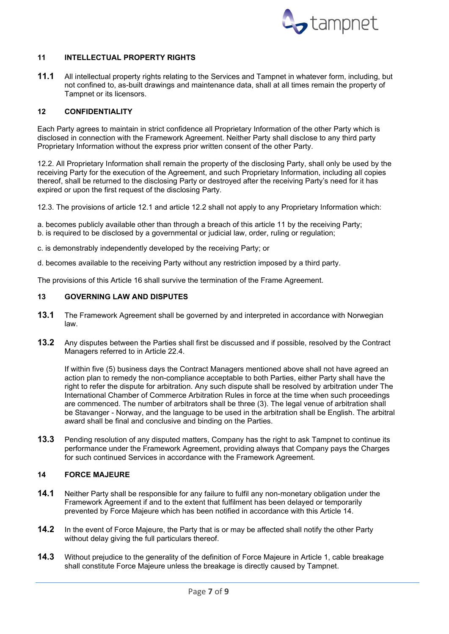

### <span id="page-6-0"></span>**11 INTELLECTUAL PROPERTY RIGHTS**

**11.1** All intellectual property rights relating to the Services and Tampnet in whatever form, including, but not confined to, as-built drawings and maintenance data, shall at all times remain the property of Tampnet or its licensors.

## <span id="page-6-1"></span>**12 CONFIDENTIALITY**

Each Party agrees to maintain in strict confidence all Proprietary Information of the other Party which is disclosed in connection with the Framework Agreement. Neither Party shall disclose to any third party Proprietary Information without the express prior written consent of the other Party.

12.2. All Proprietary Information shall remain the property of the disclosing Party, shall only be used by the receiving Party for the execution of the Agreement, and such Proprietary Information, including all copies thereof, shall be returned to the disclosing Party or destroyed after the receiving Party's need for it has expired or upon the first request of the disclosing Party.

12.3. The provisions of article 12.1 and article 12.2 shall not apply to any Proprietary Information which:

a. becomes publicly available other than through a breach of this article 11 by the receiving Party; b. is required to be disclosed by a governmental or judicial law, order, ruling or regulation;

c. is demonstrably independently developed by the receiving Party; or

d. becomes available to the receiving Party without any restriction imposed by a third party.

The provisions of this Article 16 shall survive the termination of the Frame Agreement.

# <span id="page-6-2"></span>**13 GOVERNING LAW AND DISPUTES**

- **13.1** The Framework Agreement shall be governed by and interpreted in accordance with Norwegian law.
- **13.2** Any disputes between the Parties shall first be discussed and if possible, resolved by the Contract Managers referred to in Article 22.4.

If within five (5) business days the Contract Managers mentioned above shall not have agreed an action plan to remedy the non-compliance acceptable to both Parties, either Party shall have the right to refer the dispute for arbitration. Any such dispute shall be resolved by arbitration under The International Chamber of Commerce Arbitration Rules in force at the time when such proceedings are commenced. The number of arbitrators shall be three (3). The legal venue of arbitration shall be Stavanger - Norway, and the language to be used in the arbitration shall be English. The arbitral award shall be final and conclusive and binding on the Parties.

**13.3** Pending resolution of any disputed matters, Company has the right to ask Tampnet to continue its performance under the Framework Agreement, providing always that Company pays the Charges for such continued Services in accordance with the Framework Agreement.

# <span id="page-6-3"></span>**14 FORCE MAJEURE**

- **14.1** Neither Party shall be responsible for any failure to fulfil any non-monetary obligation under the Framework Agreement if and to the extent that fulfilment has been delayed or temporarily prevented by Force Majeure which has been notified in accordance with this Article 14.
- **14.2** In the event of Force Majeure, the Party that is or may be affected shall notify the other Party without delay giving the full particulars thereof.
- **14.3** Without prejudice to the generality of the definition of Force Majeure in Article 1, cable breakage shall constitute Force Majeure unless the breakage is directly caused by Tampnet.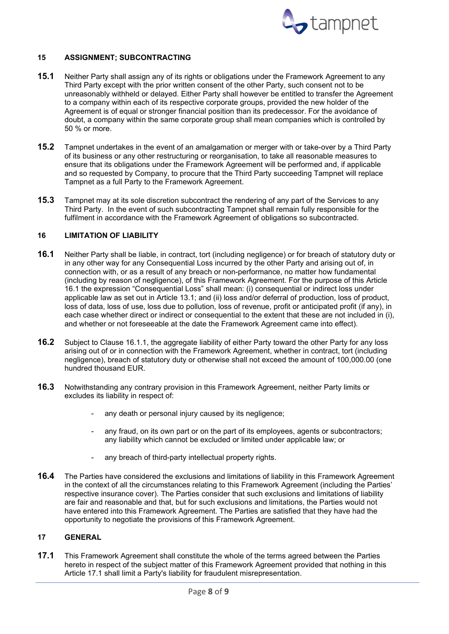

# <span id="page-7-0"></span>**15 ASSIGNMENT; SUBCONTRACTING**

- **15.1** Neither Party shall assign any of its rights or obligations under the Framework Agreement to any Third Party except with the prior written consent of the other Party, such consent not to be unreasonably withheld or delayed. Either Party shall however be entitled to transfer the Agreement to a company within each of its respective corporate groups, provided the new holder of the Agreement is of equal or stronger financial position than its predecessor. For the avoidance of doubt, a company within the same corporate group shall mean companies which is controlled by 50 % or more.
- **15.2** Tampnet undertakes in the event of an amalgamation or merger with or take-over by a Third Party of its business or any other restructuring or reorganisation, to take all reasonable measures to ensure that its obligations under the Framework Agreement will be performed and, if applicable and so requested by Company, to procure that the Third Party succeeding Tampnet will replace Tampnet as a full Party to the Framework Agreement.
- **15.3** Tampnet may at its sole discretion subcontract the rendering of any part of the Services to any Third Party. In the event of such subcontracting Tampnet shall remain fully responsible for the fulfilment in accordance with the Framework Agreement of obligations so subcontracted.

# <span id="page-7-1"></span>**16 LIMITATION OF LIABILITY**

- <span id="page-7-3"></span>**16.1** Neither Party shall be liable, in contract, tort (including negligence) or for breach of statutory duty or in any other way for any Consequential Loss incurred by the other Party and arising out of, in connection with, or as a result of any breach or non-performance, no matter how fundamental (including by reason of negligence), of this Framework Agreement. For the purpose of this Article [16.1](#page-7-3) the expression "Consequential Loss" shall mean: (i) consequential or indirect loss under applicable law as set out in Article 13.1; and (ii) loss and/or deferral of production, loss of product, loss of data, loss of use, loss due to pollution, loss of revenue, profit or anticipated profit (if any), in each case whether direct or indirect or consequential to the extent that these are not included in (i), and whether or not foreseeable at the date the Framework Agreement came into effect).
- **16.2** Subject to Clause 16.1.1, the aggregate liability of either Party toward the other Party for any loss arising out of or in connection with the Framework Agreement, whether in contract, tort (including negligence), breach of statutory duty or otherwise shall not exceed the amount of 100,000.00 (one hundred thousand EUR.
- **16.3** Notwithstanding any contrary provision in this Framework Agreement, neither Party limits or excludes its liability in respect of:
	- any death or personal injury caused by its negligence;
	- any fraud, on its own part or on the part of its employees, agents or subcontractors; any liability which cannot be excluded or limited under applicable law; or
	- any breach of third-party intellectual property rights.
- **16.4** The Parties have considered the exclusions and limitations of liability in this Framework Agreement in the context of all the circumstances relating to this Framework Agreement (including the Parties' respective insurance cover). The Parties consider that such exclusions and limitations of liability are fair and reasonable and that, but for such exclusions and limitations, the Parties would not have entered into this Framework Agreement. The Parties are satisfied that they have had the opportunity to negotiate the provisions of this Framework Agreement.

#### <span id="page-7-2"></span>**17 GENERAL**

<span id="page-7-4"></span>**17.1** This Framework Agreement shall constitute the whole of the terms agreed between the Parties hereto in respect of the subject matter of this Framework Agreement provided that nothing in this Article [17.1](#page-7-4) shall limit a Party's liability for fraudulent misrepresentation.